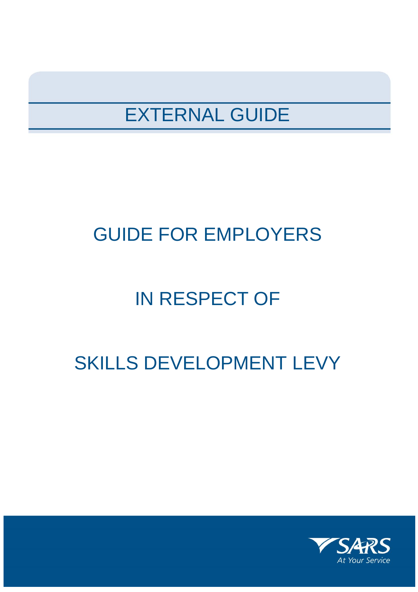# EXTERNAL GUIDE

# GUIDE FOR EMPLOYERS

# IN RESPECT OF

# SKILLS DEVELOPMENT LEVY

**IN RESPECT OF**

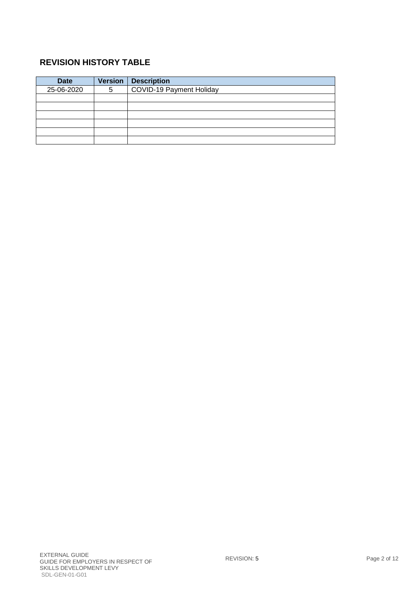### **REVISION HISTORY TABLE**

| <b>Date</b> | <b>Version</b> | <b>Description</b>              |
|-------------|----------------|---------------------------------|
| 25-06-2020  | 5              | <b>COVID-19 Payment Holiday</b> |
|             |                |                                 |
|             |                |                                 |
|             |                |                                 |
|             |                |                                 |
|             |                |                                 |
|             |                |                                 |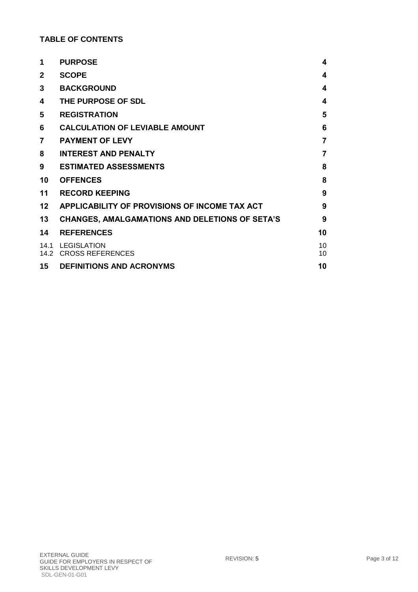### **TABLE OF CONTENTS**

| 1            | <b>PURPOSE</b>                                        | 4        |
|--------------|-------------------------------------------------------|----------|
| $\mathbf{2}$ | <b>SCOPE</b>                                          | 4        |
| 3            | <b>BACKGROUND</b>                                     | 4        |
| 4            | THE PURPOSE OF SDL                                    | 4        |
| 5            | <b>REGISTRATION</b>                                   | 5        |
| 6            | <b>CALCULATION OF LEVIABLE AMOUNT</b>                 | 6        |
| 7            | <b>PAYMENT OF LEVY</b>                                | 7        |
| 8            | <b>INTEREST AND PENALTY</b>                           | 7        |
| 9            | <b>ESTIMATED ASSESSMENTS</b>                          | 8        |
| 10           | <b>OFFENCES</b>                                       | 8        |
| 11           | <b>RECORD KEEPING</b>                                 | 9        |
| 12           | APPLICABILITY OF PROVISIONS OF INCOME TAX ACT         | 9        |
| 13           | <b>CHANGES, AMALGAMATIONS AND DELETIONS OF SETA'S</b> | 9        |
| 14           | <b>REFERENCES</b>                                     | 10       |
| 14.1         | LEGISLATION<br>14.2 CROSS REFERENCES                  | 10<br>10 |
| 15           | <b>DEFINITIONS AND ACRONYMS</b>                       | 10       |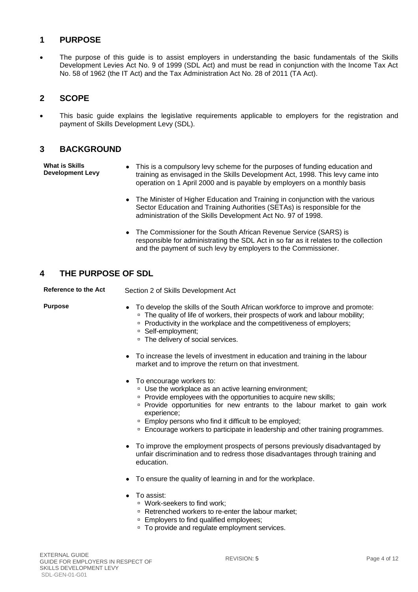#### <span id="page-3-0"></span>**1 PURPOSE**

 The purpose of this guide is to assist employers in understanding the basic fundamentals of the Skills Development Levies Act No. 9 of 1999 (SDL Act) and must be read in conjunction with the Income Tax Act No. 58 of 1962 (the IT Act) and the Tax Administration Act No. 28 of 2011 (TA Act).

#### <span id="page-3-1"></span>**2 SCOPE**

 This basic guide explains the legislative requirements applicable to employers for the registration and payment of Skills Development Levy (SDL).

#### <span id="page-3-2"></span>**3 BACKGROUND**

**What is Skills Development Levy**

- This is a compulsory levy scheme for the purposes of funding education and training as envisaged in the Skills Development Act, 1998. This levy came into operation on 1 April 2000 and is payable by employers on a monthly basis
	- The Minister of Higher Education and Training in conjunction with the various Sector Education and Training Authorities (SETAs) is responsible for the administration of the Skills Development Act No. 97 of 1998.
	- The Commissioner for the South African Revenue Service (SARS) is responsible for administrating the SDL Act in so far as it relates to the collection and the payment of such levy by employers to the Commissioner.

#### <span id="page-3-3"></span>**4 THE PURPOSE OF SDL**

**Reference to the Act** Section 2 of Skills Development Act

- **Purpose 19.1** To develop the skills of the South African workforce to improve and promote: <sup>D</sup> The quality of life of workers, their prospects of work and labour mobility;
	- □ Productivity in the workplace and the competitiveness of employers;
	- □ Self-employment;
	- <sup>D</sup> The delivery of social services.
	- To increase the levels of investment in education and training in the labour market and to improve the return on that investment.
	- To encourage workers to:
		- □ Use the workplace as an active learning environment;
		- □ Provide employees with the opportunities to acquire new skills;
		- **Provide opportunities for new entrants to the labour market to gain work** experience;
		- □ Employ persons who find it difficult to be employed;
		- Encourage workers to participate in leadership and other training programmes.
	- To improve the employment prospects of persons previously disadvantaged by unfair discrimination and to redress those disadvantages through training and education.
	- To ensure the quality of learning in and for the workplace.
	- To assist:
		- Work-seekers to find work:
		- □ Retrenched workers to re-enter the labour market;
		- □ Employers to find qualified employees;
		- □ To provide and regulate employment services.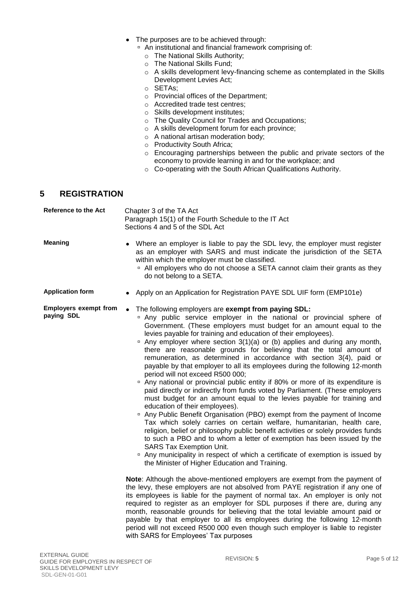- The purposes are to be achieved through:
	- An institutional and financial framework comprising of:
		- o The National Skills Authority;
		- o The National Skills Fund;
		- o A skills development levy-financing scheme as contemplated in the Skills Development Levies Act;
		- o SETAs;
		- o Provincial offices of the Department;
		- o Accredited trade test centres;
		- o Skills development institutes;
		- o The Quality Council for Trades and Occupations;
		- o A skills development forum for each province;
		- o A national artisan moderation body;
		- o Productivity South Africa;
		- o Encouraging partnerships between the public and private sectors of the economy to provide learning in and for the workplace; and
		- o Co-operating with the South African Qualifications Authority.

#### <span id="page-4-0"></span>**5 REGISTRATION**

| Reference to the Act                       | Chapter 3 of the TA Act<br>Paragraph 15(1) of the Fourth Schedule to the IT Act<br>Sections 4 and 5 of the SDL Act                                                                                                                                                                                                                                                                                                                                                                                                                                                                                                                                                                                                                                                                                                                                                                                                                                                                                                                                                                                                                                                                                                                                                                                                                                                                                                                                                                                                                                                                                                                                                                                                                                                                                                                                                                                                                                                                                                                                                                                      |  |
|--------------------------------------------|---------------------------------------------------------------------------------------------------------------------------------------------------------------------------------------------------------------------------------------------------------------------------------------------------------------------------------------------------------------------------------------------------------------------------------------------------------------------------------------------------------------------------------------------------------------------------------------------------------------------------------------------------------------------------------------------------------------------------------------------------------------------------------------------------------------------------------------------------------------------------------------------------------------------------------------------------------------------------------------------------------------------------------------------------------------------------------------------------------------------------------------------------------------------------------------------------------------------------------------------------------------------------------------------------------------------------------------------------------------------------------------------------------------------------------------------------------------------------------------------------------------------------------------------------------------------------------------------------------------------------------------------------------------------------------------------------------------------------------------------------------------------------------------------------------------------------------------------------------------------------------------------------------------------------------------------------------------------------------------------------------------------------------------------------------------------------------------------------------|--|
| <b>Meaning</b>                             | Where an employer is liable to pay the SDL levy, the employer must register<br>as an employer with SARS and must indicate the jurisdiction of the SETA<br>within which the employer must be classified.<br><sup>o</sup> All employers who do not choose a SETA cannot claim their grants as they<br>do not belong to a SETA.                                                                                                                                                                                                                                                                                                                                                                                                                                                                                                                                                                                                                                                                                                                                                                                                                                                                                                                                                                                                                                                                                                                                                                                                                                                                                                                                                                                                                                                                                                                                                                                                                                                                                                                                                                            |  |
| <b>Application form</b>                    | • Apply on an Application for Registration PAYE SDL UIF form (EMP101e)                                                                                                                                                                                                                                                                                                                                                                                                                                                                                                                                                                                                                                                                                                                                                                                                                                                                                                                                                                                                                                                                                                                                                                                                                                                                                                                                                                                                                                                                                                                                                                                                                                                                                                                                                                                                                                                                                                                                                                                                                                  |  |
| <b>Employers exempt from</b><br>paying SDL | The following employers are exempt from paying SDL:<br>$\bullet$<br><sup>o</sup> Any public service employer in the national or provincial sphere of<br>Government. (These employers must budget for an amount equal to the<br>levies payable for training and education of their employees).<br><sup>o</sup> Any employer where section 3(1)(a) or (b) applies and during any month,<br>there are reasonable grounds for believing that the total amount of<br>remuneration, as determined in accordance with section 3(4), paid or<br>payable by that employer to all its employees during the following 12-month<br>period will not exceed R500 000;<br><sup>o</sup> Any national or provincial public entity if 80% or more of its expenditure is<br>paid directly or indirectly from funds voted by Parliament. (These employers<br>must budget for an amount equal to the levies payable for training and<br>education of their employees).<br><sup>o</sup> Any Public Benefit Organisation (PBO) exempt from the payment of Income<br>Tax which solely carries on certain welfare, humanitarian, health care,<br>religion, belief or philosophy public benefit activities or solely provides funds<br>to such a PBO and to whom a letter of exemption has been issued by the<br><b>SARS Tax Exemption Unit.</b><br><sup>o</sup> Any municipality in respect of which a certificate of exemption is issued by<br>the Minister of Higher Education and Training.<br>Note: Although the above-mentioned employers are exempt from the payment of<br>the levy, these employers are not absolved from PAYE registration if any one of<br>its employees is liable for the payment of normal tax. An employer is only not<br>required to register as an employer for SDL purposes if there are, during any<br>month, reasonable grounds for believing that the total leviable amount paid or<br>payable by that employer to all its employees during the following 12-month<br>period will not exceed R500 000 even though such employer is liable to register<br>with SARS for Employees' Tax purposes |  |
|                                            |                                                                                                                                                                                                                                                                                                                                                                                                                                                                                                                                                                                                                                                                                                                                                                                                                                                                                                                                                                                                                                                                                                                                                                                                                                                                                                                                                                                                                                                                                                                                                                                                                                                                                                                                                                                                                                                                                                                                                                                                                                                                                                         |  |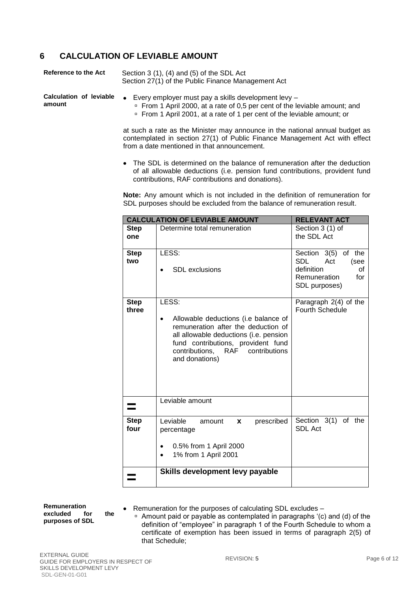#### <span id="page-5-0"></span>**6 CALCULATION OF LEVIABLE AMOUNT**

| <b>Reference to the Act</b> | Section $3(1)$ , $(4)$ and $(5)$ of the SDL Act<br>Section 27(1) of the Public Finance Management Act |  |
|-----------------------------|-------------------------------------------------------------------------------------------------------|--|
| Calculation of leviable     | • Every employer must pay a skills development levy $-$                                               |  |
| amount                      | $\overline{P}$ From 1 April 2000 at a rate of 0.5 per cent of the let                                 |  |

- From 1 April 2000, at a rate of 0,5 per cent of the leviable amount; and
- From 1 April 2001, at a rate of 1 per cent of the leviable amount; or

at such a rate as the Minister may announce in the national annual budget as contemplated in section 27(1) of Public Finance Management Act with effect from a date mentioned in that announcement.

 The SDL is determined on the balance of remuneration after the deduction of all allowable deductions (i.e. pension fund contributions, provident fund contributions, RAF contributions and donations).

**Note:** Any amount which is not included in the definition of remuneration for SDL purposes should be excluded from the balance of remuneration result.

|                      | <b>CALCULATION OF LEVIABLE AMOUNT</b>                                                                                                                                                                                      | <b>RELEVANT ACT</b>                                                                                             |
|----------------------|----------------------------------------------------------------------------------------------------------------------------------------------------------------------------------------------------------------------------|-----------------------------------------------------------------------------------------------------------------|
| <b>Step</b><br>one   | Determine total remuneration                                                                                                                                                                                               | Section 3 (1) of<br>the SDL Act                                                                                 |
| <b>Step</b><br>two   | LESS:<br><b>SDL</b> exclusions                                                                                                                                                                                             | Section 3(5)<br>of the<br><b>SDL</b><br>Act<br>(see<br>definition<br>οf<br>Remuneration<br>for<br>SDL purposes) |
| <b>Step</b><br>three | LESS:<br>Allowable deductions (i.e balance of<br>remuneration after the deduction of<br>all allowable deductions (i.e. pension<br>fund contributions, provident fund<br>contributions, RAF contributions<br>and donations) | Paragraph 2(4) of the<br><b>Fourth Schedule</b>                                                                 |
|                      | Leviable amount                                                                                                                                                                                                            |                                                                                                                 |
| <b>Step</b><br>four  | Leviable<br>prescribed<br>amount<br>X<br>percentage<br>0.5% from 1 April 2000<br>1% from 1 April 2001                                                                                                                      | 3(1)<br>Section<br>of the<br><b>SDL Act</b>                                                                     |
|                      | Skills development levy payable                                                                                                                                                                                            |                                                                                                                 |

**Remuneration excluded for the purposes of SDL**

Remuneration for the purposes of calculating SDL excludes –

 Amount paid or payable as contemplated in paragraphs '(c) and (d) of the definition of "employee" in paragraph 1 of the Fourth Schedule to whom a certificate of exemption has been issued in terms of paragraph 2(5) of that Schedule;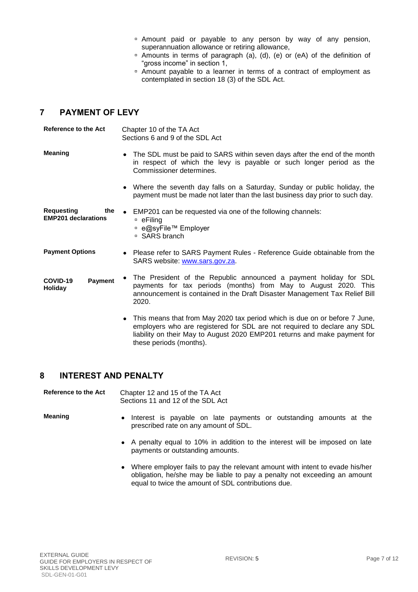- Amount paid or payable to any person by way of any pension, superannuation allowance or retiring allowance,
- $\overline{P}$  Amounts in terms of paragraph (a), (d), (e) or (eA) of the definition of "gross income" in section 1,
- Amount payable to a learner in terms of a contract of employment as contemplated in section 18 (3) of the SDL Act.

### <span id="page-6-0"></span>**7 PAYMENT OF LEVY**

**Reference to the Act** Chapter 10 of the TA Act Sections 6 and 9 of the SDL Act

- **Meaning** The SDL must be paid to SARS within seven days after the end of the month in respect of which the levy is payable or such longer period as the Commissioner determines.
	- Where the seventh day falls on a Saturday, Sunday or public holiday, the payment must be made not later than the last business day prior to such day.

| Requesting<br>the<br><b>EMP201 declarations</b> | $\bullet$ EMP201 can be requested via one of the following channels:<br>□ eFilina<br>□ e@syFile™ Employer<br>□ SARS branch |
|-------------------------------------------------|----------------------------------------------------------------------------------------------------------------------------|
|                                                 |                                                                                                                            |

#### **Payment Options** Please refer to SARS Payment Rules - Reference Guide obtainable from the SARS website: [www.sars.gov.za.](http://www.sars.gov.za/)

- **COVID-19 Payment Holiday** The President of the Republic announced a payment holiday for SDL payments for tax periods (months) from May to August 2020. This announcement is contained in the Draft Disaster Management Tax Relief Bill 2020.
	- This means that from May 2020 tax period which is due on or before 7 June, employers who are registered for SDL are not required to declare any SDL liability on their May to August 2020 EMP201 returns and make payment for these periods (months).

#### <span id="page-6-1"></span>**8 INTEREST AND PENALTY**

**Reference to the Act** Chapter 12 and 15 of the TA Act Sections 11 and 12 of the SDL Act

- **Meaning •** Interest is payable on late payments or outstanding amounts at the prescribed rate on any amount of SDL.
	- A penalty equal to 10% in addition to the interest will be imposed on late payments or outstanding amounts.
	- Where employer fails to pay the relevant amount with intent to evade his/her obligation, he/she may be liable to pay a penalty not exceeding an amount equal to twice the amount of SDL contributions due.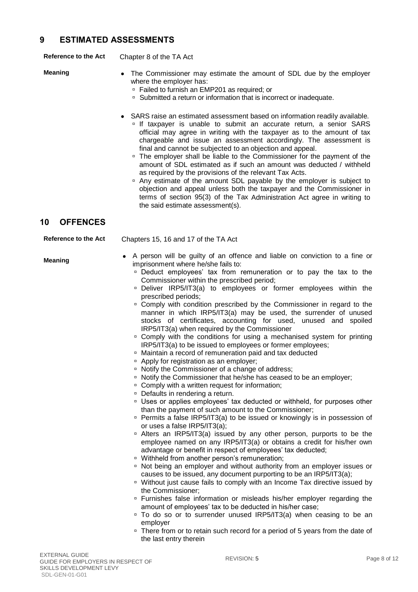#### <span id="page-7-0"></span>**9 ESTIMATED ASSESSMENTS**

**Reference to the Act** Chapter 8 of the TA Act

- **Meaning** The Commissioner may estimate the amount of SDL due by the employer where the employer has:
	- □ Failed to furnish an EMP201 as required; or
	- □ Submitted a return or information that is incorrect or inadequate.
	- SARS raise an estimated assessment based on information readily available.
		- <sup>o</sup> If taxpayer is unable to submit an accurate return, a senior SARS official may agree in writing with the taxpayer as to the amount of tax chargeable and issue an assessment accordingly. The assessment is final and cannot be subjected to an objection and appeal.
		- <sup>n</sup> The employer shall be liable to the Commissioner for the payment of the amount of SDL estimated as if such an amount was deducted / withheld as required by the provisions of the relevant Tax Acts.
		- Any estimate of the amount SDL payable by the employer is subject to objection and appeal unless both the taxpayer and the Commissioner in terms of section 95(3) of the Tax Administration Act agree in writing to the said estimate assessment(s).

#### <span id="page-7-1"></span>**10 OFFENCES**

**Reference to the Act** Chapters 15, 16 and 17 of the TA Act

**Meaning**

- A person will be guilty of an offence and liable on conviction to a fine or imprisonment where he/she fails to:
	- Deduct employees' tax from remuneration or to pay the tax to the Commissioner within the prescribed period;
	- Deliver IRP5/IT3(a) to employees or former employees within the prescribed periods;
	- □ Comply with condition prescribed by the Commissioner in regard to the manner in which IRP5/IT3(a) may be used, the surrender of unused stocks of certificates, accounting for used, unused and spoiled IRP5/IT3(a) when required by the Commissioner
	- **Comply with the conditions for using a mechanised system for printing** IRP5/IT3(a) to be issued to employees or former employees;
	- Maintain a record of remuneration paid and tax deducted
	- □ Apply for registration as an employer;
	- □ Notify the Commissioner of a change of address;
	- □ Notify the Commissioner that he/she has ceased to be an employer;
	- Comply with a written request for information;
	- Defaults in rendering a return.
	- Uses or applies employees' tax deducted or withheld, for purposes other than the payment of such amount to the Commissioner;
	- **Permits a false IRP5/IT3(a) to be issued or knowingly is in possession of** or uses a false IRP5/IT3(a);
	- Alters an IRP5/IT3(a) issued by any other person, purports to be the employee named on any IRP5/IT3(a) or obtains a credit for his/her own advantage or benefit in respect of employees' tax deducted;
	- □ Withheld from another person's remuneration;
	- Not being an employer and without authority from an employer issues or causes to be issued, any document purporting to be an IRP5/IT3(a);
	- □ Without just cause fails to comply with an Income Tax directive issued by the Commissioner;
	- **Furnishes false information or misleads his/her employer regarding the** amount of employees' tax to be deducted in his/her case;
	- □ To do so or to surrender unused IRP5/IT3(a) when ceasing to be an employer
	- □ There from or to retain such record for a period of 5 years from the date of the last entry therein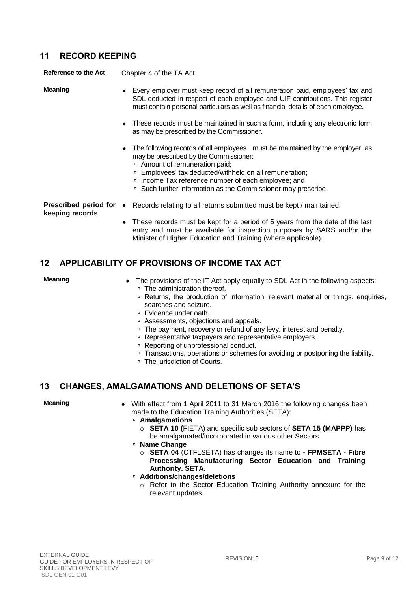#### <span id="page-8-0"></span>**11 RECORD KEEPING**

**Reference to the Act** Chapter 4 of the TA Act

**Meaning EVELY** Every employer must keep record of all remuneration paid, employees' tax and SDL deducted in respect of each employee and UIF contributions. This register must contain personal particulars as well as financial details of each employee.

- These records must be maintained in such a form, including any electronic form as may be prescribed by the Commissioner.
- The following records of all employees must be maintained by the employer, as may be prescribed by the Commissioner:
	- Amount of remuneration paid;
	- □ Employees' tax deducted/withheld on all remuneration;
	- <sup>D</sup> Income Tax reference number of each employee; and
	- □ Such further information as the Commissioner may prescribe.

**keeping records**

**Prescribed period for**  Records relating to all returns submitted must be kept / maintained.

 These records must be kept for a period of 5 years from the date of the last entry and must be available for inspection purposes by SARS and/or the Minister of Higher Education and Training (where applicable).

### <span id="page-8-1"></span>**12 APPLICABILITY OF PROVISIONS OF INCOME TAX ACT**

- **Meaning •** The provisions of the IT Act apply equally to SDL Act in the following aspects: □ The administration thereof.
	- Returns, the production of information, relevant material or things, enquiries, searches and seizure.
	- □ Evidence under oath.
	- Assessments, objections and appeals.
	- □ The payment, recovery or refund of any levy, interest and penalty.
	- □ Representative taxpayers and representative employers.
	- □ Reporting of unprofessional conduct.
	- □ Transactions, operations or schemes for avoiding or postponing the liability.
	- □ The jurisdiction of Courts.

### <span id="page-8-2"></span>**13 CHANGES, AMALGAMATIONS AND DELETIONS OF SETA'S**

**Meaning** • With effect from 1 April 2011 to 31 March 2016 the following changes been made to the Education Training Authorities (SETA):

- **Amalgamations**
	- o **SETA 10 (**FIETA) and specific sub sectors of **SETA 15 (MAPPP)** has be amalgamated/incorporated in various other Sectors.
- **Name Change**
	- o **SETA 04** (CTFLSETA) has changes its name to **- FPMSETA - Fibre Processing Manufacturing Sector Education and Training Authority. SETA.**
- **Additions/changes/deletions**
	- o Refer to the Sector Education Training Authority annexure for the relevant updates.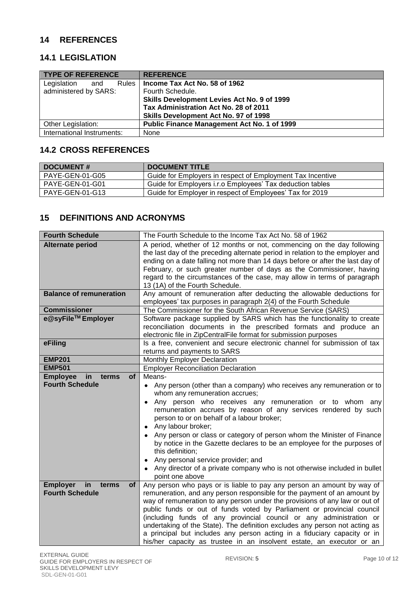#### <span id="page-9-0"></span>**14 REFERENCES**

#### <span id="page-9-1"></span>**14.1 LEGISLATION**

| <b>TYPE OF REFERENCE</b>   | <b>REFERENCE</b>                            |
|----------------------------|---------------------------------------------|
| Legislation<br>and         | Rules   Income Tax Act No. 58 of 1962       |
| administered by SARS:      | Fourth Schedule.                            |
|                            | Skills Development Levies Act No. 9 of 1999 |
|                            | Tax Administration Act No. 28 of 2011       |
|                            | Skills Development Act No. 97 of 1998       |
| Other Legislation:         | Public Finance Management Act No. 1 of 1999 |
| International Instruments: | None                                        |

### <span id="page-9-2"></span>**14.2 CROSS REFERENCES**

| <b>DOCUMENT#</b>       | <b>DOCUMENT TITLE</b>                                      |
|------------------------|------------------------------------------------------------|
| PAYE-GEN-01-G05        | Guide for Employers in respect of Employment Tax Incentive |
| <b>PAYE-GEN-01-G01</b> | Guide for Employers i.r.o Employees' Tax deduction tables  |
| PAYE-GEN-01-G13        | Guide for Employer in respect of Employees' Tax for 2019   |

### <span id="page-9-3"></span>**15 DEFINITIONS AND ACRONYMS**

| <b>Fourth Schedule</b>                      | The Fourth Schedule to the Income Tax Act No. 58 of 1962                                                                                      |
|---------------------------------------------|-----------------------------------------------------------------------------------------------------------------------------------------------|
| <b>Alternate period</b>                     | A period, whether of 12 months or not, commencing on the day following                                                                        |
|                                             | the last day of the preceding alternate period in relation to the employer and                                                                |
|                                             | ending on a date falling not more than 14 days before or after the last day of                                                                |
|                                             | February, or such greater number of days as the Commissioner, having                                                                          |
|                                             | regard to the circumstances of the case, may allow in terms of paragraph                                                                      |
|                                             | 13 (1A) of the Fourth Schedule.                                                                                                               |
| <b>Balance of remuneration</b>              | Any amount of remuneration after deducting the allowable deductions for                                                                       |
|                                             | employees' tax purposes in paragraph 2(4) of the Fourth Schedule                                                                              |
| <b>Commissioner</b><br>e@syFile™ Employer   | The Commissioner for the South African Revenue Service (SARS)                                                                                 |
|                                             | Software package supplied by SARS which has the functionality to create<br>reconciliation documents in the prescribed formats and produce an  |
|                                             |                                                                                                                                               |
| eFiling                                     | electronic file in ZipCentralFile format for submission purposes<br>Is a free, convenient and secure electronic channel for submission of tax |
|                                             | returns and payments to SARS                                                                                                                  |
| <b>EMP201</b>                               | Monthly Employer Declaration                                                                                                                  |
| <b>EMP501</b>                               | <b>Employer Reconciliation Declaration</b>                                                                                                    |
| <b>of</b><br><b>Employee</b><br>in<br>terms | Means-                                                                                                                                        |
| <b>Fourth Schedule</b>                      | • Any person (other than a company) who receives any remuneration or to                                                                       |
|                                             | whom any remuneration accrues;                                                                                                                |
|                                             | Any person who receives any remuneration or to whom any                                                                                       |
|                                             | remuneration accrues by reason of any services rendered by such                                                                               |
|                                             | person to or on behalf of a labour broker;                                                                                                    |
|                                             | Any labour broker;                                                                                                                            |
|                                             | Any person or class or category of person whom the Minister of Finance                                                                        |
|                                             | by notice in the Gazette declares to be an employee for the purposes of                                                                       |
|                                             | this definition;                                                                                                                              |
|                                             | Any personal service provider; and                                                                                                            |
|                                             | Any director of a private company who is not otherwise included in bullet                                                                     |
|                                             | point one above                                                                                                                               |
| in<br><b>Employer</b><br>terms<br><b>of</b> | Any person who pays or is liable to pay any person an amount by way of                                                                        |
| <b>Fourth Schedule</b>                      | remuneration, and any person responsible for the payment of an amount by                                                                      |
|                                             | way of remuneration to any person under the provisions of any law or out of                                                                   |
|                                             | public funds or out of funds voted by Parliament or provincial council                                                                        |
|                                             | (including funds of any provincial council or any administration or                                                                           |
|                                             | undertaking of the State). The definition excludes any person not acting as                                                                   |
|                                             | a principal but includes any person acting in a fiduciary capacity or in                                                                      |
|                                             | his/her capacity as trustee in an insolvent estate, an executor or an                                                                         |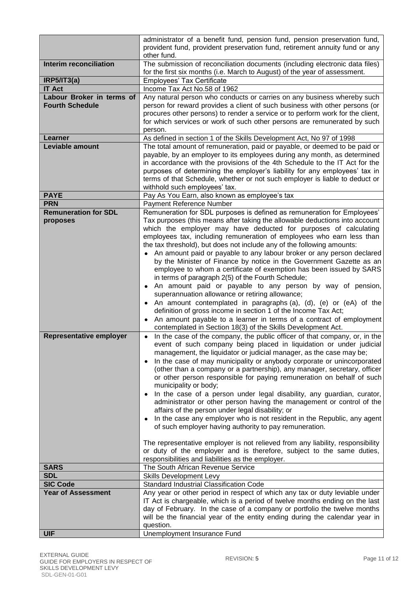|                               | administrator of a benefit fund, pension fund, pension preservation fund,<br>provident fund, provident preservation fund, retirement annuity fund or any   |
|-------------------------------|------------------------------------------------------------------------------------------------------------------------------------------------------------|
|                               | other fund.                                                                                                                                                |
| <b>Interim reconciliation</b> | The submission of reconciliation documents (including electronic data files)<br>for the first six months (i.e. March to August) of the year of assessment. |
| IRP5/IT3(a)                   | <b>Employees' Tax Certificate</b>                                                                                                                          |
| <b>IT Act</b>                 | Income Tax Act No.58 of 1962                                                                                                                               |
| Labour Broker in terms of     | Any natural person who conducts or carries on any business whereby such                                                                                    |
| <b>Fourth Schedule</b>        | person for reward provides a client of such business with other persons (or                                                                                |
|                               | procures other persons) to render a service or to perform work for the client,                                                                             |
|                               | for which services or work of such other persons are remunerated by such                                                                                   |
|                               |                                                                                                                                                            |
|                               | person.                                                                                                                                                    |
| Learner                       | As defined in section 1 of the Skills Development Act, No 97 of 1998                                                                                       |
| Leviable amount               | The total amount of remuneration, paid or payable, or deemed to be paid or                                                                                 |
|                               | payable, by an employer to its employees during any month, as determined                                                                                   |
|                               | in accordance with the provisions of the 4th Schedule to the IT Act for the                                                                                |
|                               | purposes of determining the employer's liability for any employees' tax in                                                                                 |
|                               | terms of that Schedule, whether or not such employer is liable to deduct or                                                                                |
|                               | withhold such employees' tax.                                                                                                                              |
| <b>PAYE</b>                   | Pay As You Earn, also known as employee's tax                                                                                                              |
| <b>PRN</b>                    | Payment Reference Number                                                                                                                                   |
| <b>Remuneration for SDL</b>   | Remuneration for SDL purposes is defined as remuneration for Employees'                                                                                    |
| proposes                      | Tax purposes (this means after taking the allowable deductions into account                                                                                |
|                               | which the employer may have deducted for purposes of calculating                                                                                           |
|                               | employees tax, including remuneration of employees who earn less than                                                                                      |
|                               | the tax threshold), but does not include any of the following amounts:                                                                                     |
|                               | An amount paid or payable to any labour broker or any person declared                                                                                      |
|                               | by the Minister of Finance by notice in the Government Gazette as an                                                                                       |
|                               | employee to whom a certificate of exemption has been issued by SARS                                                                                        |
|                               | in terms of paragraph 2(5) of the Fourth Schedule;                                                                                                         |
|                               | An amount paid or payable to any person by way of pension,                                                                                                 |
|                               | superannuation allowance or retiring allowance;                                                                                                            |
|                               | An amount contemplated in paragraphs (a), (d), (e) or (eA) of the                                                                                          |
|                               | definition of gross income in section 1 of the Income Tax Act;                                                                                             |
|                               | An amount payable to a learner in terms of a contract of employment                                                                                        |
|                               | contemplated in Section 18(3) of the Skills Development Act.                                                                                               |
| Representative employer       | In the case of the company, the public officer of that company, or, in the                                                                                 |
|                               | event of such company being placed in liquidation or under judicial                                                                                        |
|                               | management, the liquidator or judicial manager, as the case may be;                                                                                        |
|                               | In the case of may municipality or anybody corporate or unincorporated                                                                                     |
|                               | (other than a company or a partnership), any manager, secretary, officer                                                                                   |
|                               |                                                                                                                                                            |
|                               | or other person responsible for paying remuneration on behalf of such                                                                                      |
|                               | municipality or body;                                                                                                                                      |
|                               | In the case of a person under legal disability, any guardian, curator,                                                                                     |
|                               | administrator or other person having the management or control of the                                                                                      |
|                               | affairs of the person under legal disability; or                                                                                                           |
|                               | In the case any employer who is not resident in the Republic, any agent                                                                                    |
|                               | of such employer having authority to pay remuneration.                                                                                                     |
|                               |                                                                                                                                                            |
|                               | The representative employer is not relieved from any liability, responsibility                                                                             |
|                               | or duty of the employer and is therefore, subject to the same duties,                                                                                      |
|                               | responsibilities and liabilities as the employer.                                                                                                          |
| <b>SARS</b>                   | The South African Revenue Service                                                                                                                          |
| <b>SDL</b>                    | Skills Development Levy                                                                                                                                    |
| <b>SIC Code</b>               | <b>Standard Industrial Classification Code</b>                                                                                                             |
| <b>Year of Assessment</b>     | Any year or other period in respect of which any tax or duty leviable under                                                                                |
|                               | IT Act is chargeable, which is a period of twelve months ending on the last                                                                                |
|                               | day of February. In the case of a company or portfolio the twelve months                                                                                   |
|                               | will be the financial year of the entity ending during the calendar year in                                                                                |
|                               | question.                                                                                                                                                  |
| <b>UIF</b>                    | Unemployment Insurance Fund                                                                                                                                |